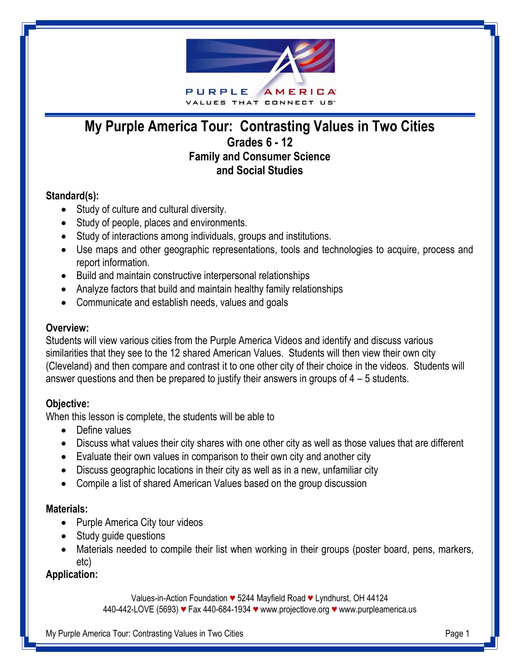

# **My Purple America Tour: Contrasting Values in Two Cities Grades 6 - 12 Family and Consumer Science and Social Studies**

## **Standard(s):**

- Study of culture and cultural diversity.
- Study of people, places and environments.
- Study of interactions among individuals, groups and institutions.
- Use maps and other geographic representations, tools and technologies to acquire, process and report information.
- Build and maintain constructive interpersonal relationships
- Analyze factors that build and maintain healthy family relationships
- Communicate and establish needs, values and goals

## **Overview:**

Students will view various cities from the Purple America Videos and identify and discuss various similarities that they see to the 12 shared American Values. Students will then view their own city (Cleveland) and then compare and contrast it to one other city of their choice in the videos. Students will answer questions and then be prepared to justify their answers in groups of 4 – 5 students.

## **Objective:**

When this lesson is complete, the students will be able to

- Define values
- Discuss what values their city shares with one other city as well as those values that are different
- Evaluate their own values in comparison to their own city and another city
- Discuss geographic locations in their city as well as in a new, unfamiliar city
- Compile a list of shared American Values based on the group discussion

## **Materials:**

- Purple America City tour videos
- Study guide questions
- Materials needed to compile their list when working in their groups (poster board, pens, markers, etc)

## **Application:**

Values-in-Action Foundation *♥* 5244 Mayfield Road *♥* Lyndhurst, OH 44124

440-442-LOVE (5693) *♥* Fax 440-684-1934 *♥* [www.projectlove.org](http://www.projectlove.org/) *♥* www.purpleamerica.us

My Purple America Tour: Contrasting Values in Two Cities **Page 1** American page 1